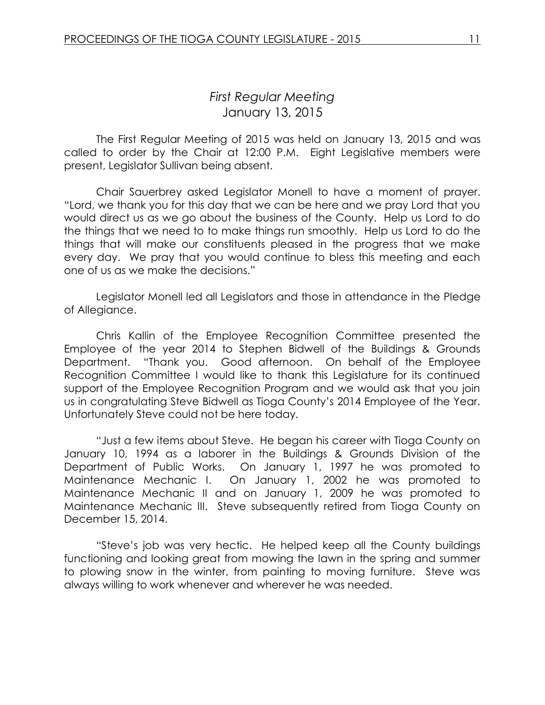# *First Regular Meeting* January 13, 2015

The First Regular Meeting of 2015 was held on January 13, 2015 and was called to order by the Chair at 12:00 P.M. Eight Legislative members were present, Legislator Sullivan being absent.

Chair Sauerbrey asked Legislator Monell to have a moment of prayer. "Lord, we thank you for this day that we can be here and we pray Lord that you would direct us as we go about the business of the County. Help us Lord to do the things that we need to to make things run smoothly. Help us Lord to do the things that will make our constituents pleased in the progress that we make every day. We pray that you would continue to bless this meeting and each one of us as we make the decisions."

Legislator Monell led all Legislators and those in attendance in the Pledge of Allegiance.

Chris Kallin of the Employee Recognition Committee presented the Employee of the year 2014 to Stephen Bidwell of the Buildings & Grounds Department. "Thank you. Good afternoon. On behalf of the Employee Recognition Committee I would like to thank this Legislature for its continued support of the Employee Recognition Program and we would ask that you join us in congratulating Steve Bidwell as Tioga County's 2014 Employee of the Year. Unfortunately Steve could not be here today.

"Just a few items about Steve. He began his career with Tioga County on January 10, 1994 as a laborer in the Buildings & Grounds Division of the Department of Public Works. On January 1, 1997 he was promoted to Maintenance Mechanic I. On January 1, 2002 he was promoted to Maintenance Mechanic II and on January 1, 2009 he was promoted to Maintenance Mechanic III. Steve subsequently retired from Tioga County on December 15, 2014.

"Steve's job was very hectic. He helped keep all the County buildings functioning and looking great from mowing the lawn in the spring and summer to plowing snow in the winter, from painting to moving furniture. Steve was always willing to work whenever and wherever he was needed.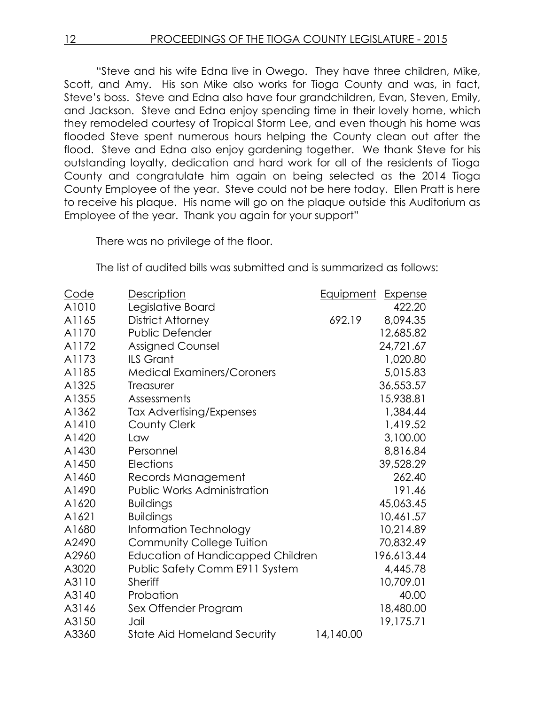"Steve and his wife Edna live in Owego. They have three children, Mike, Scott, and Amy. His son Mike also works for Tioga County and was, in fact, Steve's boss. Steve and Edna also have four grandchildren, Evan, Steven, Emily, and Jackson. Steve and Edna enjoy spending time in their lovely home, which they remodeled courtesy of Tropical Storm Lee, and even though his home was flooded Steve spent numerous hours helping the County clean out after the flood. Steve and Edna also enjoy gardening together. We thank Steve for his outstanding loyalty, dedication and hard work for all of the residents of Tioga County and congratulate him again on being selected as the 2014 Tioga County Employee of the year. Steve could not be here today. Ellen Pratt is here to receive his plaque. His name will go on the plaque outside this Auditorium as Employee of the year. Thank you again for your support"

There was no privilege of the floor.

The list of audited bills was submitted and is summarized as follows:

| <u>Code</u> | Description                        | <u>Equipment</u> | <b>Expense</b> |
|-------------|------------------------------------|------------------|----------------|
| A1010       | Legislative Board                  |                  | 422.20         |
| A1165       | <b>District Attorney</b>           | 692.19           | 8,094.35       |
| A1170       | <b>Public Defender</b>             |                  | 12,685.82      |
| A1172       | <b>Assigned Counsel</b>            |                  | 24,721.67      |
| A1173       | <b>ILS Grant</b>                   |                  | 1,020.80       |
| A1185       | <b>Medical Examiners/Coroners</b>  |                  | 5,015.83       |
| A1325       | Treasurer                          |                  | 36,553.57      |
| A1355       | Assessments                        |                  | 15,938.81      |
| A1362       | <b>Tax Advertising/Expenses</b>    |                  | 1,384.44       |
| A1410       | County Clerk                       |                  | 1,419.52       |
| A1420       | Law                                |                  | 3,100.00       |
| A1430       | Personnel                          |                  | 8,816.84       |
| A1450       | Elections                          |                  | 39,528.29      |
| A1460       | Records Management                 |                  | 262.40         |
| A1490       | Public Works Administration        |                  | 191.46         |
| A1620       | <b>Buildings</b>                   |                  | 45,063.45      |
| A1621       | <b>Buildings</b>                   |                  | 10,461.57      |
| A1680       | Information Technology             |                  | 10,214.89      |
| A2490       | <b>Community College Tuition</b>   |                  | 70,832.49      |
| A2960       | Education of Handicapped Children  |                  | 196,613.44     |
| A3020       | Public Safety Comm E911 System     |                  | 4,445.78       |
| A3110       | <b>Sheriff</b>                     |                  | 10,709.01      |
| A3140       | Probation                          |                  | 40.00          |
| A3146       | Sex Offender Program               |                  | 18,480.00      |
| A3150       | Jail                               |                  | 19,175.71      |
| A3360       | <b>State Aid Homeland Security</b> | 14,140.00        |                |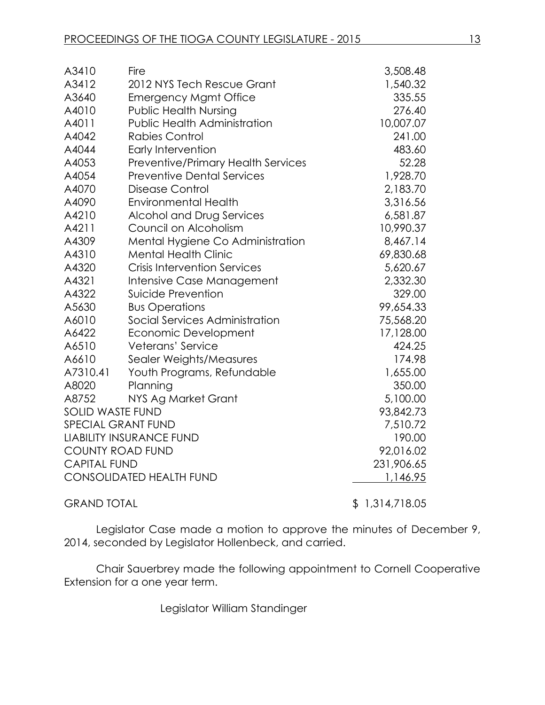| A3410                   | Fire                                      | 3,508.48       |
|-------------------------|-------------------------------------------|----------------|
| A3412                   | 2012 NYS Tech Rescue Grant                | 1,540.32       |
| A3640                   | <b>Emergency Mgmt Office</b>              | 335.55         |
| A4010                   | <b>Public Health Nursing</b>              | 276.40         |
| A4011                   | <b>Public Health Administration</b>       | 10,007.07      |
| A4042                   | <b>Rabies Control</b>                     | 241.00         |
| A4044                   | Early Intervention                        | 483.60         |
| A4053                   | <b>Preventive/Primary Health Services</b> | 52.28          |
| A4054                   | <b>Preventive Dental Services</b>         | 1,928.70       |
| A4070                   | Disease Control                           | 2,183.70       |
| A4090                   | <b>Environmental Health</b>               | 3,316.56       |
| A4210                   | Alcohol and Drug Services                 | 6,581.87       |
| A4211                   | Council on Alcoholism                     | 10,990.37      |
| A4309                   | Mental Hygiene Co Administration          | 8,467.14       |
| A4310                   | <b>Mental Health Clinic</b>               | 69,830.68      |
| A4320                   | <b>Crisis Intervention Services</b>       | 5,620.67       |
| A4321                   | Intensive Case Management                 | 2,332.30       |
| A4322                   | Suicide Prevention                        | 329.00         |
| A5630                   | <b>Bus Operations</b>                     | 99,654.33      |
| A6010                   | Social Services Administration            | 75,568.20      |
| A6422                   | Economic Development                      | 17,128.00      |
| A6510                   | Veterans' Service                         | 424.25         |
| A6610                   | Sealer Weights/Measures                   | 174.98         |
| A7310.41                | Youth Programs, Refundable                | 1,655.00       |
| A8020                   | Planning                                  | 350.00         |
| A8752                   | NYS Ag Market Grant                       | 5,100.00       |
| <b>SOLID WASTE FUND</b> |                                           | 93,842.73      |
|                         | <b>SPECIAL GRANT FUND</b>                 | 7,510.72       |
|                         | <b>LIABILITY INSURANCE FUND</b>           | 190.00         |
|                         | <b>COUNTY ROAD FUND</b>                   | 92,016.02      |
| <b>CAPITAL FUND</b>     |                                           | 231,906.65     |
|                         | <b>CONSOLIDATED HEALTH FUND</b>           | 1,146.95       |
| <b>GRAND TOTAL</b>      |                                           | \$1,314,718.05 |

Legislator Case made a motion to approve the minutes of December 9, 2014, seconded by Legislator Hollenbeck, and carried.

Chair Sauerbrey made the following appointment to Cornell Cooperative Extension for a one year term.

Legislator William Standinger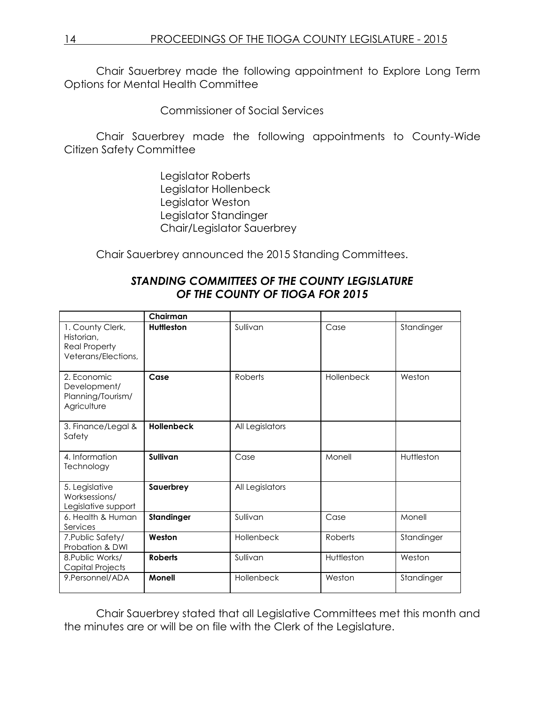Chair Sauerbrey made the following appointment to Explore Long Term Options for Mental Health Committee

Commissioner of Social Services

Chair Sauerbrey made the following appointments to County-Wide Citizen Safety Committee

> Legislator Roberts Legislator Hollenbeck Legislator Weston Legislator Standinger Chair/Legislator Sauerbrey

Chair Sauerbrey announced the 2015 Standing Committees.

|                                                                               | Chairman          |                 |            |            |
|-------------------------------------------------------------------------------|-------------------|-----------------|------------|------------|
| 1. County Clerk,<br>Historian,<br><b>Real Property</b><br>Veterans/Elections, | <b>Huttleston</b> | Sullivan        | Case       | Standinger |
| 2. Economic<br>Development/<br>Planning/Tourism/<br>Agriculture               | Case              | Roberts         | Hollenbeck | Weston     |
| 3. Finance/Legal &<br>Safety                                                  | <b>Hollenbeck</b> | All Legislators |            |            |
| 4. Information<br>Technology                                                  | Sullivan          | Case            | Monell     | Huttleston |
| 5. Legislative<br>Worksessions/<br>Legislative support                        | Sauerbrey         | All Legislators |            |            |
| 6. Health & Human<br>Services                                                 | Standinger        | Sullivan        | Case       | Monell     |
| 7. Public Safety/<br>Probation & DWI                                          | Weston            | Hollenbeck      | Roberts    | Standinger |
| 8. Public Works/<br>Capital Projects                                          | <b>Roberts</b>    | Sullivan        | Huttleston | Weston     |
| 9. Personnel/ADA                                                              | <b>Monell</b>     | Hollenbeck      | Weston     | Standinger |

## *STANDING COMMITTEES OF THE COUNTY LEGISLATURE OF THE COUNTY OF TIOGA FOR 2015*

Chair Sauerbrey stated that all Legislative Committees met this month and the minutes are or will be on file with the Clerk of the Legislature.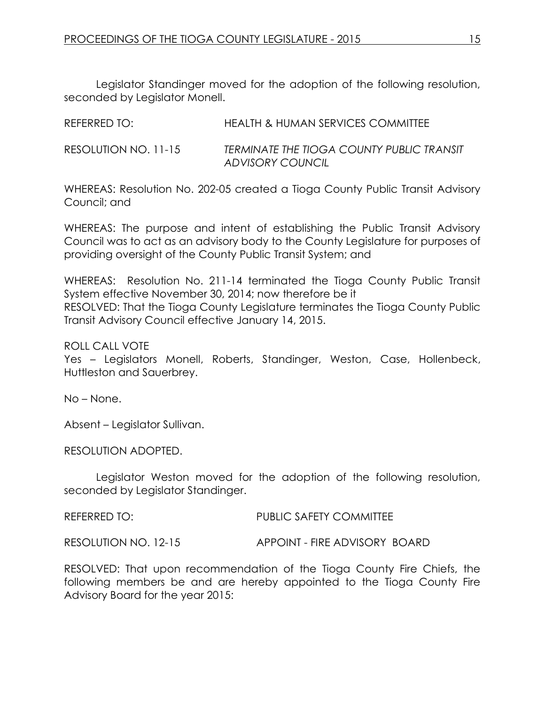Legislator Standinger moved for the adoption of the following resolution, seconded by Legislator Monell.

| REFERRED TO:         | <b>HEALTH &amp; HUMAN SERVICES COMMITTEE</b>                  |
|----------------------|---------------------------------------------------------------|
| RESOLUTION NO. 11-15 | TERMINATE THE TIOGA COUNTY PUBLIC TRANSIT<br>ADVISORY COUNCIL |

WHEREAS: Resolution No. 202-05 created a Tioga County Public Transit Advisory Council; and

WHEREAS: The purpose and intent of establishing the Public Transit Advisory Council was to act as an advisory body to the County Legislature for purposes of providing oversight of the County Public Transit System; and

WHEREAS: Resolution No. 211-14 terminated the Tioga County Public Transit System effective November 30, 2014; now therefore be it RESOLVED: That the Tioga County Legislature terminates the Tioga County Public Transit Advisory Council effective January 14, 2015.

ROLL CALL VOTE

Yes – Legislators Monell, Roberts, Standinger, Weston, Case, Hollenbeck, Huttleston and Sauerbrey.

No – None.

Absent – Legislator Sullivan.

RESOLUTION ADOPTED.

Legislator Weston moved for the adoption of the following resolution, seconded by Legislator Standinger.

REFERRED TO: PUBLIC SAFETY COMMITTEE

RESOLUTION NO. 12-15 APPOINT - FIRE ADVISORY BOARD

RESOLVED: That upon recommendation of the Tioga County Fire Chiefs, the following members be and are hereby appointed to the Tioga County Fire Advisory Board for the year 2015: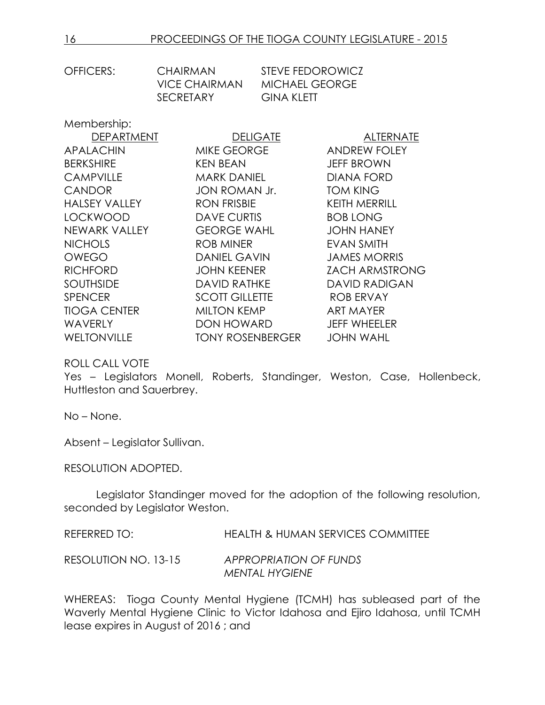| OFFICERS: | CHAIRMAN         | <b>STEVE FEDOROWICZ</b> |
|-----------|------------------|-------------------------|
|           | VICE CHAIRMAN    | MICHAEL GEORGE          |
|           | <b>SECRETARY</b> | GINA KLETT              |
|           |                  |                         |

Membership:

| <b>DEPARTMENT</b>    | <b>DELIGATE</b>         | <b>ALTERNATE</b>      |
|----------------------|-------------------------|-----------------------|
| <b>APALACHIN</b>     | <b>MIKE GEORGE</b>      | <b>ANDREW FOLEY</b>   |
| <b>BERKSHIRE</b>     | <b>KEN BEAN</b>         | <b>JEFF BROWN</b>     |
| <b>CAMPVILLE</b>     | <b>MARK DANIEL</b>      | <b>DIANA FORD</b>     |
| <b>CANDOR</b>        | JON ROMAN Jr.           | <b>TOM KING</b>       |
| <b>HALSEY VALLEY</b> | <b>RON FRISBIE</b>      | <b>KEITH MERRILL</b>  |
| <b>LOCKWOOD</b>      | <b>DAVE CURTIS</b>      | <b>BOB LONG</b>       |
| NEWARK VALLEY        | <b>GEORGE WAHL</b>      | <b>JOHN HANEY</b>     |
| <b>NICHOLS</b>       | ROB MINER               | EVAN SMITH            |
| <b>OWEGO</b>         | <b>DANIEL GAVIN</b>     | <b>JAMES MORRIS</b>   |
| <b>RICHFORD</b>      | <b>JOHN KEENER</b>      | <b>ZACH ARMSTRONG</b> |
| <b>SOUTHSIDE</b>     | <b>DAVID RATHKE</b>     | <b>DAVID RADIGAN</b>  |
| <b>SPENCER</b>       | <b>SCOTT GILLETTE</b>   | <b>ROB ERVAY</b>      |
| <b>TIOGA CENTER</b>  | <b>MILTON KEMP</b>      | <b>ART MAYER</b>      |
| <b>WAVERLY</b>       | <b>DON HOWARD</b>       | <b>JEFF WHEELER</b>   |
| <b>WELTONVILLE</b>   | <b>TONY ROSENBERGER</b> | <b>JOHN WAHL</b>      |

ROLL CALL VOTE

Yes – Legislators Monell, Roberts, Standinger, Weston, Case, Hollenbeck, Huttleston and Sauerbrey.

No – None.

Absent – Legislator Sullivan.

RESOLUTION ADOPTED.

Legislator Standinger moved for the adoption of the following resolution, seconded by Legislator Weston.

REFERRED TO: HEALTH & HUMAN SERVICES COMMITTEE

RESOLUTION NO. 13-15 *APPROPRIATION OF FUNDS MENTAL HYGIENE*

WHEREAS: Tioga County Mental Hygiene (TCMH) has subleased part of the Waverly Mental Hygiene Clinic to Victor Idahosa and Ejiro Idahosa, until TCMH lease expires in August of 2016 ; and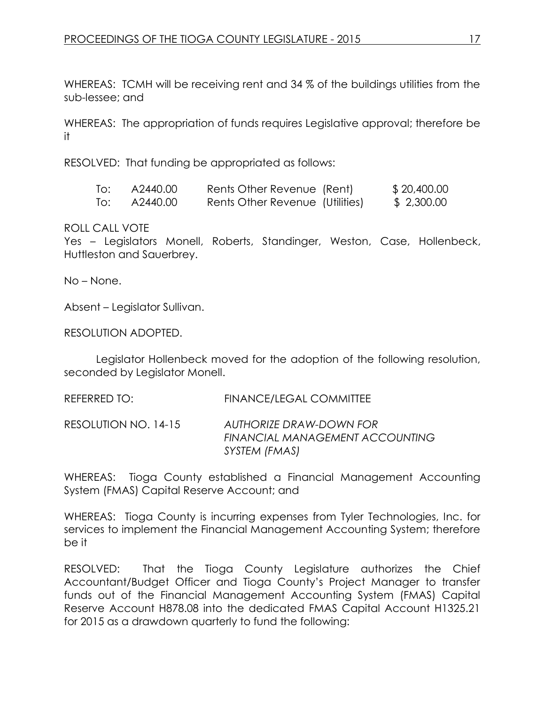WHEREAS: TCMH will be receiving rent and 34 % of the buildings utilities from the sub-lessee; and

WHEREAS: The appropriation of funds requires Legislative approval; therefore be it

RESOLVED: That funding be appropriated as follows:

| To: | A2440.00 | Rents Other Revenue (Rent)      | \$20,400.00 |
|-----|----------|---------------------------------|-------------|
| To: | A2440.00 | Rents Other Revenue (Utilities) | \$ 2,300.00 |

ROLL CALL VOTE

Yes – Legislators Monell, Roberts, Standinger, Weston, Case, Hollenbeck, Huttleston and Sauerbrey.

No – None.

Absent – Legislator Sullivan.

RESOLUTION ADOPTED.

Legislator Hollenbeck moved for the adoption of the following resolution, seconded by Legislator Monell.

REFERRED TO: FINANCE/LEGAL COMMITTEE

RESOLUTION NO. 14-15 *AUTHORIZE DRAW-DOWN FOR FINANCIAL MANAGEMENT ACCOUNTING SYSTEM (FMAS)*

WHEREAS: Tioga County established a Financial Management Accounting System (FMAS) Capital Reserve Account; and

WHEREAS: Tioga County is incurring expenses from Tyler Technologies, Inc. for services to implement the Financial Management Accounting System; therefore be it

RESOLVED: That the Tioga County Legislature authorizes the Chief Accountant/Budget Officer and Tioga County's Project Manager to transfer funds out of the Financial Management Accounting System (FMAS) Capital Reserve Account H878.08 into the dedicated FMAS Capital Account H1325.21 for 2015 as a drawdown quarterly to fund the following: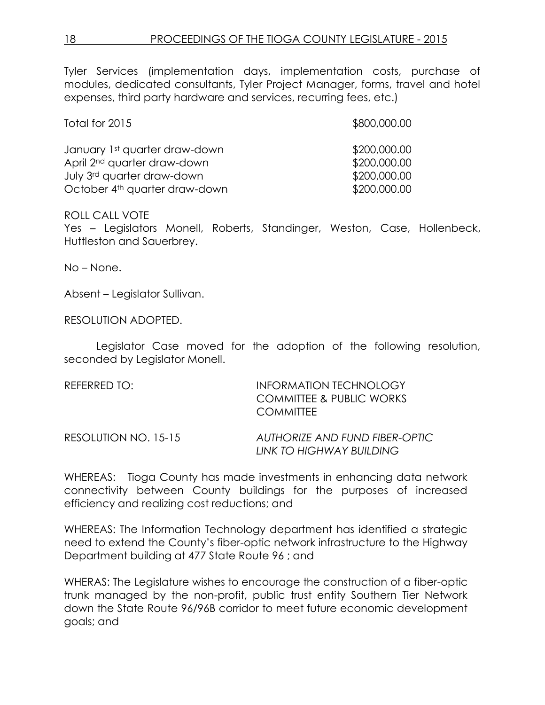Tyler Services (implementation days, implementation costs, purchase of modules, dedicated consultants, Tyler Project Manager, forms, travel and hotel expenses, third party hardware and services, recurring fees, etc.)

| Total for 2015                            | \$800,000.00 |
|-------------------------------------------|--------------|
| January 1st quarter draw-down             | \$200,000.00 |
| April 2 <sup>nd</sup> quarter draw-down   | \$200,000.00 |
| July 3rd quarter draw-down                | \$200,000.00 |
| October 4 <sup>th</sup> quarter draw-down | \$200,000.00 |

#### ROLL CALL VOTE

Yes – Legislators Monell, Roberts, Standinger, Weston, Case, Hollenbeck, Huttleston and Sauerbrey.

No – None.

Absent – Legislator Sullivan.

RESOLUTION ADOPTED.

Legislator Case moved for the adoption of the following resolution, seconded by Legislator Monell.

REFERRED TO: INFORMATION TECHNOLOGY COMMITTEE & PUBLIC WORKS **COMMITTEE** 

RESOLUTION NO. 15-15 *AUTHORIZE AND FUND FIBER-OPTIC LINK TO HIGHWAY BUILDING*

WHEREAS: Tioga County has made investments in enhancing data network connectivity between County buildings for the purposes of increased efficiency and realizing cost reductions; and

WHEREAS: The Information Technology department has identified a strategic need to extend the County's fiber-optic network infrastructure to the Highway Department building at 477 State Route 96 ; and

WHERAS: The Legislature wishes to encourage the construction of a fiber-optic trunk managed by the non-profit, public trust entity Southern Tier Network down the State Route 96/96B corridor to meet future economic development goals; and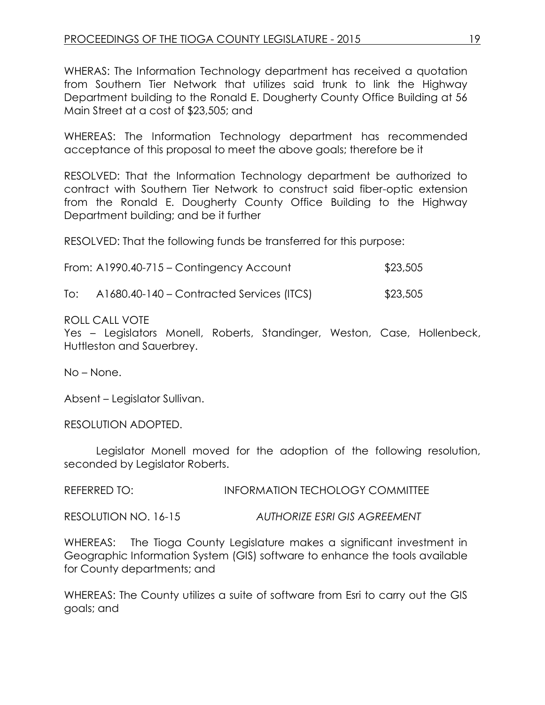WHERAS: The Information Technology department has received a quotation from Southern Tier Network that utilizes said trunk to link the Highway Department building to the Ronald E. Dougherty County Office Building at 56 Main Street at a cost of \$23,505; and

WHEREAS: The Information Technology department has recommended acceptance of this proposal to meet the above goals; therefore be it

RESOLVED: That the Information Technology department be authorized to contract with Southern Tier Network to construct said fiber-optic extension from the Ronald E. Dougherty County Office Building to the Highway Department building; and be it further

RESOLVED: That the following funds be transferred for this purpose:

| From: A1990.40-715 - Contingency Account | \$23,505 |
|------------------------------------------|----------|
|------------------------------------------|----------|

To: A1680.40-140 – Contracted Services (ITCS) \$23,505

#### ROLL CALL VOTE

Yes – Legislators Monell, Roberts, Standinger, Weston, Case, Hollenbeck, Huttleston and Sauerbrey.

No – None.

Absent – Legislator Sullivan.

RESOLUTION ADOPTED.

Legislator Monell moved for the adoption of the following resolution, seconded by Legislator Roberts.

REFERRED TO: INFORMATION TECHOLOGY COMMITTEE

RESOLUTION NO. 16-15 *AUTHORIZE ESRI GIS AGREEMENT*

WHEREAS: The Tioga County Legislature makes a significant investment in Geographic Information System (GIS) software to enhance the tools available for County departments; and

WHEREAS: The County utilizes a suite of software from Esri to carry out the GIS goals; and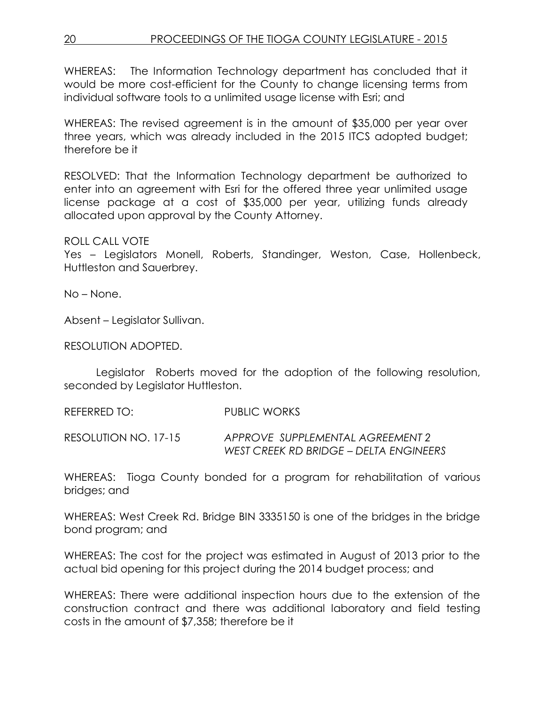## 20 PROCEEDINGS OF THE TIOGA COUNTY LEGISLATURE - 2015

WHEREAS: The Information Technology department has concluded that it would be more cost-efficient for the County to change licensing terms from individual software tools to a unlimited usage license with Esri; and

WHEREAS: The revised agreement is in the amount of \$35,000 per year over three years, which was already included in the 2015 ITCS adopted budget; therefore be it

RESOLVED: That the Information Technology department be authorized to enter into an agreement with Esri for the offered three year unlimited usage license package at a cost of \$35,000 per year, utilizing funds already allocated upon approval by the County Attorney.

#### ROLL CALL VOTE

Yes – Legislators Monell, Roberts, Standinger, Weston, Case, Hollenbeck, Huttleston and Sauerbrey.

No – None.

Absent – Legislator Sullivan.

RESOLUTION ADOPTED.

Legislator Roberts moved for the adoption of the following resolution, seconded by Legislator Huttleston.

REFERRED TO: PUBLIC WORKS

RESOLUTION NO. 17-15 *APPROVE SUPPLEMENTAL AGREEMENT 2 WEST CREEK RD BRIDGE – DELTA ENGINEERS*

WHEREAS: Tioga County bonded for a program for rehabilitation of various bridges; and

WHEREAS: West Creek Rd. Bridge BIN 3335150 is one of the bridges in the bridge bond program; and

WHEREAS: The cost for the project was estimated in August of 2013 prior to the actual bid opening for this project during the 2014 budget process; and

WHEREAS: There were additional inspection hours due to the extension of the construction contract and there was additional laboratory and field testing costs in the amount of \$7,358; therefore be it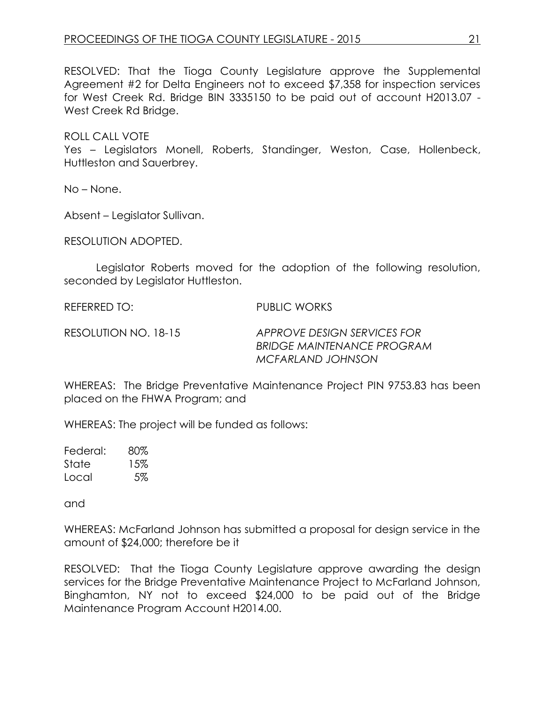RESOLVED: That the Tioga County Legislature approve the Supplemental Agreement #2 for Delta Engineers not to exceed \$7,358 for inspection services for West Creek Rd. Bridge BIN 3335150 to be paid out of account H2013.07 - West Creek Rd Bridge.

ROLL CALL VOTE Yes – Legislators Monell, Roberts, Standinger, Weston, Case, Hollenbeck, Huttleston and Sauerbrey.

No – None.

Absent – Legislator Sullivan.

RESOLUTION ADOPTED.

Legislator Roberts moved for the adoption of the following resolution, seconded by Legislator Huttleston.

REFERRED TO: PUBLIC WORKS

RESOLUTION NO. 18-15 *APPROVE DESIGN SERVICES FOR BRIDGE MAINTENANCE PROGRAM MCFARLAND JOHNSON*

WHEREAS: The Bridge Preventative Maintenance Project PIN 9753.83 has been placed on the FHWA Program; and

WHEREAS: The project will be funded as follows:

Federal: 80% State 15% Local 5%

and

WHEREAS: McFarland Johnson has submitted a proposal for design service in the amount of \$24,000; therefore be it

RESOLVED: That the Tioga County Legislature approve awarding the design services for the Bridge Preventative Maintenance Project to McFarland Johnson, Binghamton, NY not to exceed \$24,000 to be paid out of the Bridge Maintenance Program Account H2014.00.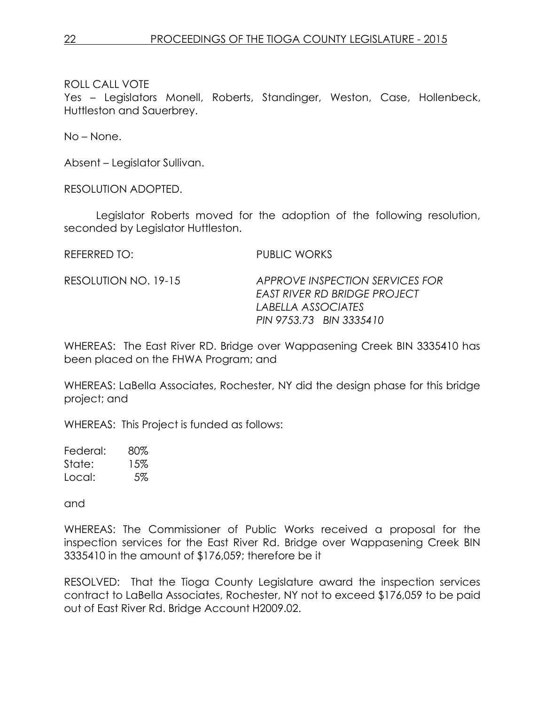Yes – Legislators Monell, Roberts, Standinger, Weston, Case, Hollenbeck, Huttleston and Sauerbrey.

No – None.

Absent – Legislator Sullivan.

RESOLUTION ADOPTED.

Legislator Roberts moved for the adoption of the following resolution, seconded by Legislator Huttleston.

REFERRED TO: PUBLIC WORKS

RESOLUTION NO. 19-15 *APPROVE INSPECTION SERVICES FOR EAST RIVER RD BRIDGE PROJECT LABELLA ASSOCIATES PIN 9753.73 BIN 3335410*

WHEREAS: The East River RD. Bridge over Wappasening Creek BIN 3335410 has been placed on the FHWA Program; and

WHEREAS: LaBella Associates, Rochester, NY did the design phase for this bridge project; and

WHEREAS: This Project is funded as follows:

Federal: 80% State: 15% Local: 5%

and

WHEREAS: The Commissioner of Public Works received a proposal for the inspection services for the East River Rd. Bridge over Wappasening Creek BIN 3335410 in the amount of \$176,059; therefore be it

RESOLVED: That the Tioga County Legislature award the inspection services contract to LaBella Associates, Rochester, NY not to exceed \$176,059 to be paid out of East River Rd. Bridge Account H2009.02.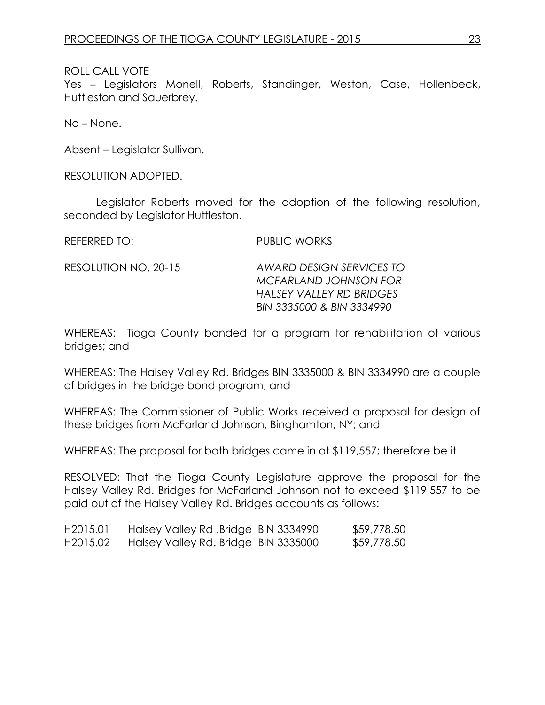Yes – Legislators Monell, Roberts, Standinger, Weston, Case, Hollenbeck, Huttleston and Sauerbrey.

No – None.

Absent – Legislator Sullivan.

RESOLUTION ADOPTED.

Legislator Roberts moved for the adoption of the following resolution, seconded by Legislator Huttleston.

REFERRED TO: PUBLIC WORKS

RESOLUTION NO. 20-15 *AWARD DESIGN SERVICES TO MCFARLAND JOHNSON FOR HALSEY VALLEY RD BRIDGES BIN 3335000 & BIN 3334990*

WHEREAS: Tioga County bonded for a program for rehabilitation of various bridges; and

WHEREAS: The Halsey Valley Rd. Bridges BIN 3335000 & BIN 3334990 are a couple of bridges in the bridge bond program; and

WHEREAS: The Commissioner of Public Works received a proposal for design of these bridges from McFarland Johnson, Binghamton, NY; and

WHEREAS: The proposal for both bridges came in at \$119,557; therefore be it

RESOLVED: That the Tioga County Legislature approve the proposal for the Halsey Valley Rd. Bridges for McFarland Johnson not to exceed \$119,557 to be paid out of the Halsey Valley Rd. Bridges accounts as follows:

| H <sub>2015</sub> .01 | Halsey Valley Rd .Bridge BIN 3334990 | \$59,778.50 |
|-----------------------|--------------------------------------|-------------|
| H <sub>2015</sub> .02 | Halsey Valley Rd. Bridge BIN 3335000 | \$59,778.50 |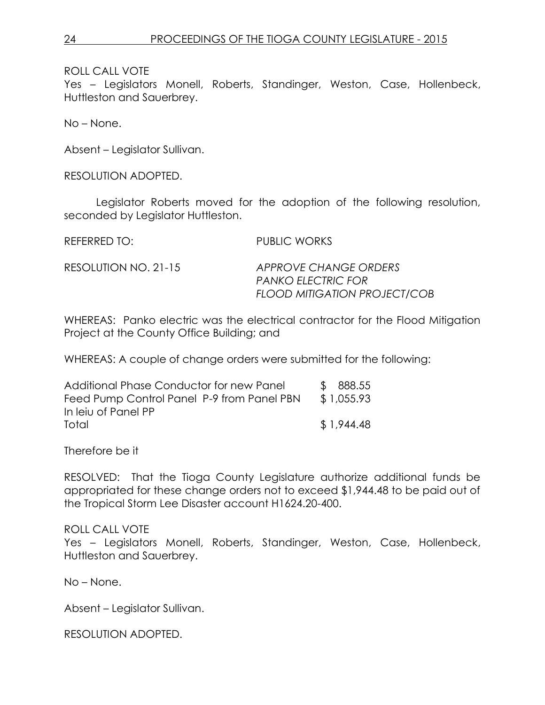Yes – Legislators Monell, Roberts, Standinger, Weston, Case, Hollenbeck, Huttleston and Sauerbrey.

No – None.

Absent – Legislator Sullivan.

RESOLUTION ADOPTED.

Legislator Roberts moved for the adoption of the following resolution, seconded by Legislator Huttleston.

REFERRED TO: PUBLIC WORKS

RESOLUTION NO. 21-15 *APPROVE CHANGE ORDERS PANKO ELECTRIC FOR FLOOD MITIGATION PROJECT/COB*

WHEREAS: Panko electric was the electrical contractor for the Flood Mitigation Project at the County Office Building; and

WHEREAS: A couple of change orders were submitted for the following:

| Additional Phase Conductor for new Panel   | \$ 888.55  |
|--------------------------------------------|------------|
| Feed Pump Control Panel P-9 from Panel PBN | \$1,055.93 |
| In leiu of Panel PP                        |            |
| Total                                      | \$1,944.48 |

Therefore be it

RESOLVED: That the Tioga County Legislature authorize additional funds be appropriated for these change orders not to exceed \$1,944.48 to be paid out of the Tropical Storm Lee Disaster account H1624.20-400.

ROLL CALL VOTE

Yes – Legislators Monell, Roberts, Standinger, Weston, Case, Hollenbeck, Huttleston and Sauerbrey.

No – None.

Absent – Legislator Sullivan.

RESOLUTION ADOPTED.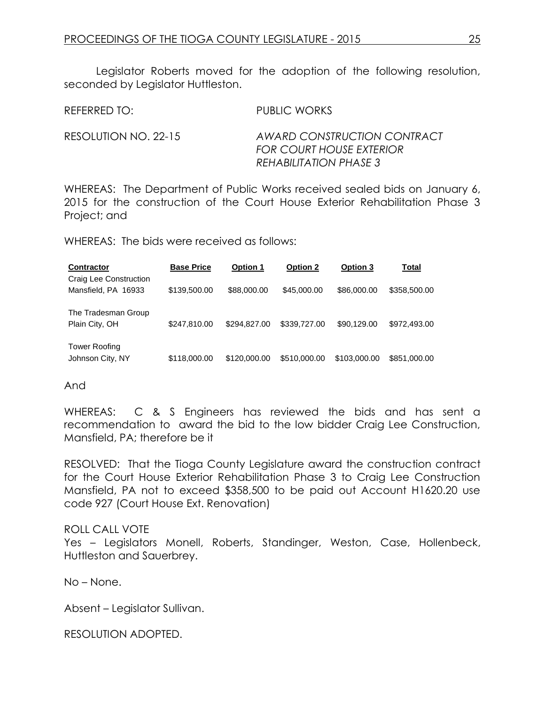Legislator Roberts moved for the adoption of the following resolution, seconded by Legislator Huttleston.

REFERRED TO: PUBLIC WORKS

RESOLUTION NO. 22-15 *AWARD CONSTRUCTION CONTRACT FOR COURT HOUSE EXTERIOR REHABILITATION PHASE 3*

WHEREAS: The Department of Public Works received sealed bids on January 6, 2015 for the construction of the Court House Exterior Rehabilitation Phase 3 Project; and

WHEREAS: The bids were received as follows:

| <b>Contractor</b>                             | <b>Base Price</b> | <b>Option 1</b> | <b>Option 2</b> | Option 3     | Total        |
|-----------------------------------------------|-------------------|-----------------|-----------------|--------------|--------------|
| Craig Lee Construction<br>Mansfield, PA 16933 | \$139,500.00      | \$88,000.00     | \$45,000.00     | \$86,000.00  | \$358,500.00 |
| The Tradesman Group<br>Plain City, OH         | \$247,810.00      | \$294.827,00    | \$339,727.00    | \$90.129.00  | \$972,493.00 |
| <b>Tower Roofing</b><br>Johnson City, NY      | \$118,000.00      | \$120,000,00    | \$510,000,00    | \$103,000,00 | \$851,000,00 |

And

WHEREAS: C & S Engineers has reviewed the bids and has sent a recommendation to award the bid to the low bidder Craig Lee Construction, Mansfield, PA; therefore be it

RESOLVED: That the Tioga County Legislature award the construction contract for the Court House Exterior Rehabilitation Phase 3 to Craig Lee Construction Mansfield, PA not to exceed \$358,500 to be paid out Account H1620.20 use code 927 (Court House Ext. Renovation)

#### ROLL CALL VOTE

Yes – Legislators Monell, Roberts, Standinger, Weston, Case, Hollenbeck, Huttleston and Sauerbrey.

No – None.

Absent – Legislator Sullivan.

RESOLUTION ADOPTED.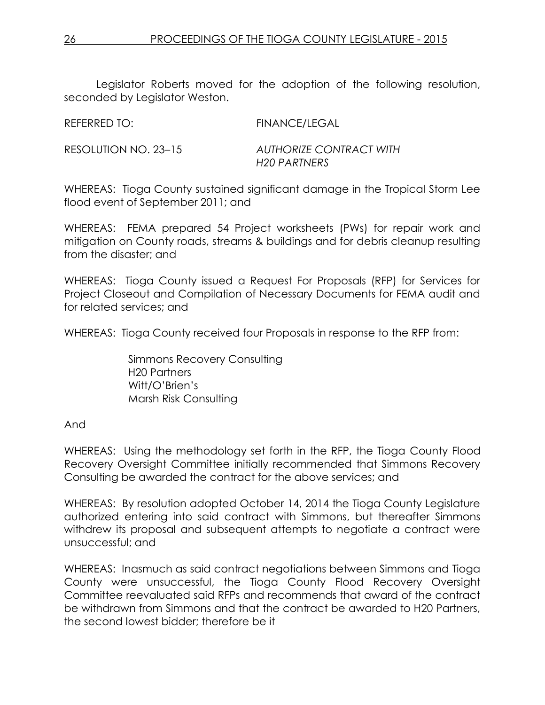Legislator Roberts moved for the adoption of the following resolution, seconded by Legislator Weston.

REFERRED TO: FINANCE/LEGAL

RESOLUTION NO. 23–15 *AUTHORIZE CONTRACT WITH H20 PARTNERS*

WHEREAS: Tioga County sustained significant damage in the Tropical Storm Lee flood event of September 2011; and

WHEREAS: FEMA prepared 54 Project worksheets (PWs) for repair work and mitigation on County roads, streams & buildings and for debris cleanup resulting from the disaster; and

WHEREAS: Tioga County issued a Request For Proposals (RFP) for Services for Project Closeout and Compilation of Necessary Documents for FEMA audit and for related services; and

WHEREAS: Tioga County received four Proposals in response to the RFP from:

Simmons Recovery Consulting H20 Partners Witt/O'Brien's Marsh Risk Consulting

And

WHEREAS: Using the methodology set forth in the RFP, the Tioga County Flood Recovery Oversight Committee initially recommended that Simmons Recovery Consulting be awarded the contract for the above services; and

WHEREAS: By resolution adopted October 14, 2014 the Tioga County Legislature authorized entering into said contract with Simmons, but thereafter Simmons withdrew its proposal and subsequent attempts to negotiate a contract were unsuccessful; and

WHEREAS: Inasmuch as said contract negotiations between Simmons and Tioga County were unsuccessful, the Tioga County Flood Recovery Oversight Committee reevaluated said RFPs and recommends that award of the contract be withdrawn from Simmons and that the contract be awarded to H20 Partners, the second lowest bidder; therefore be it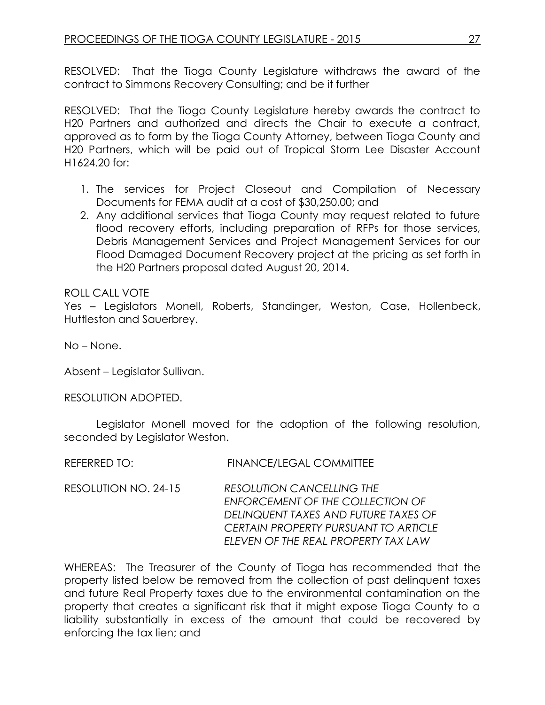RESOLVED: That the Tioga County Legislature withdraws the award of the contract to Simmons Recovery Consulting; and be it further

RESOLVED: That the Tioga County Legislature hereby awards the contract to H20 Partners and authorized and directs the Chair to execute a contract, approved as to form by the Tioga County Attorney, between Tioga County and H20 Partners, which will be paid out of Tropical Storm Lee Disaster Account H1624.20 for:

- 1. The services for Project Closeout and Compilation of Necessary Documents for FEMA audit at a cost of \$30,250.00; and
- 2. Any additional services that Tioga County may request related to future flood recovery efforts, including preparation of RFPs for those services, Debris Management Services and Project Management Services for our Flood Damaged Document Recovery project at the pricing as set forth in the H20 Partners proposal dated August 20, 2014.

### ROLL CALL VOTE

Yes – Legislators Monell, Roberts, Standinger, Weston, Case, Hollenbeck, Huttleston and Sauerbrey.

No – None.

Absent – Legislator Sullivan.

RESOLUTION ADOPTED.

Legislator Monell moved for the adoption of the following resolution, seconded by Legislator Weston.

REFERRED TO: FINANCE/LEGAL COMMITTEE

RESOLUTION NO. 24-15 *RESOLUTION CANCELLING THE ENFORCEMENT OF THE COLLECTION OF DELINQUENT TAXES AND FUTURE TAXES OF CERTAIN PROPERTY PURSUANT TO ARTICLE ELEVEN OF THE REAL PROPERTY TAX LAW*

WHEREAS: The Treasurer of the County of Tioga has recommended that the property listed below be removed from the collection of past delinquent taxes and future Real Property taxes due to the environmental contamination on the property that creates a significant risk that it might expose Tioga County to a liability substantially in excess of the amount that could be recovered by enforcing the tax lien; and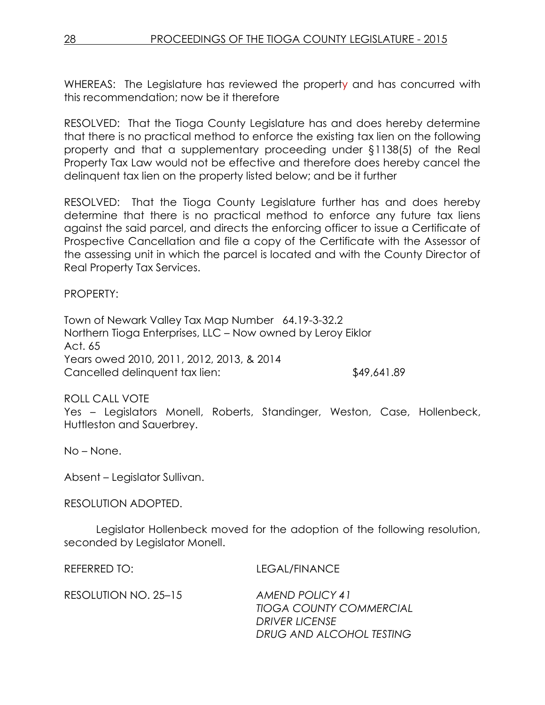WHEREAS: The Legislature has reviewed the property and has concurred with this recommendation; now be it therefore

RESOLVED: That the Tioga County Legislature has and does hereby determine that there is no practical method to enforce the existing tax lien on the following property and that a supplementary proceeding under §1138(5) of the Real Property Tax Law would not be effective and therefore does hereby cancel the delinquent tax lien on the property listed below; and be it further

RESOLVED: That the Tioga County Legislature further has and does hereby determine that there is no practical method to enforce any future tax liens against the said parcel, and directs the enforcing officer to issue a Certificate of Prospective Cancellation and file a copy of the Certificate with the Assessor of the assessing unit in which the parcel is located and with the County Director of Real Property Tax Services.

PROPERTY:

Town of Newark Valley Tax Map Number 64.19-3-32.2 Northern Tioga Enterprises, LLC – Now owned by Leroy Eiklor Act. 65 Years owed 2010, 2011, 2012, 2013, & 2014 Cancelled delinquent tax lien: \$49,641.89

ROLL CALL VOTE Yes – Legislators Monell, Roberts, Standinger, Weston, Case, Hollenbeck, Huttleston and Sauerbrey.

No – None.

Absent – Legislator Sullivan.

RESOLUTION ADOPTED.

Legislator Hollenbeck moved for the adoption of the following resolution, seconded by Legislator Monell.

REFERRED TO: LEGAL/FINANCE

RESOLUTION NO. 25–15 *AMEND POLICY 41 TIOGA COUNTY COMMERCIAL DRIVER LICENSE DRUG AND ALCOHOL TESTING*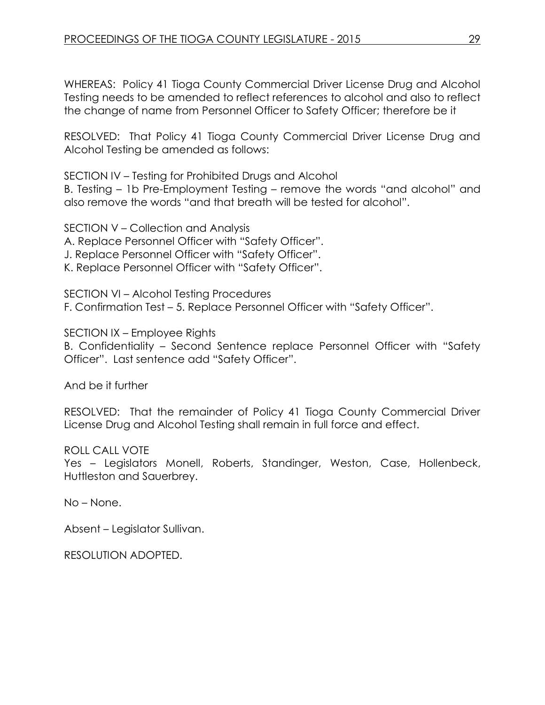WHEREAS: Policy 41 Tioga County Commercial Driver License Drug and Alcohol Testing needs to be amended to reflect references to alcohol and also to reflect the change of name from Personnel Officer to Safety Officer; therefore be it

RESOLVED: That Policy 41 Tioga County Commercial Driver License Drug and Alcohol Testing be amended as follows:

SECTION IV – Testing for Prohibited Drugs and Alcohol

B. Testing – 1b Pre-Employment Testing – remove the words "and alcohol" and also remove the words "and that breath will be tested for alcohol".

SECTION V – Collection and Analysis A. Replace Personnel Officer with "Safety Officer". J. Replace Personnel Officer with "Safety Officer". K. Replace Personnel Officer with "Safety Officer".

SECTION VI – Alcohol Testing Procedures F. Confirmation Test – 5. Replace Personnel Officer with "Safety Officer".

SECTION IX – Employee Rights

B. Confidentiality – Second Sentence replace Personnel Officer with "Safety Officer". Last sentence add "Safety Officer".

And be it further

RESOLVED: That the remainder of Policy 41 Tioga County Commercial Driver License Drug and Alcohol Testing shall remain in full force and effect.

ROLL CALL VOTE

Yes – Legislators Monell, Roberts, Standinger, Weston, Case, Hollenbeck, Huttleston and Sauerbrey.

No – None.

Absent – Legislator Sullivan.

RESOLUTION ADOPTED.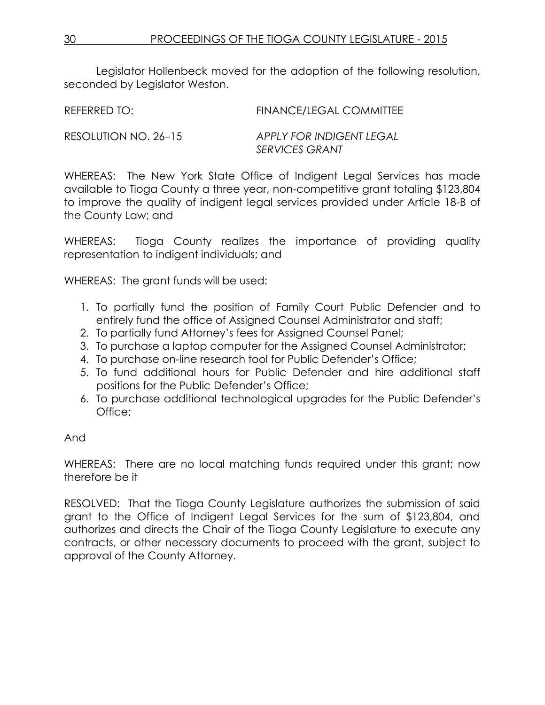Legislator Hollenbeck moved for the adoption of the following resolution, seconded by Legislator Weston.

REFERRED TO: FINANCE/LEGAL COMMITTEE

RESOLUTION NO. 26–15 *APPLY FOR INDIGENT LEGAL SERVICES GRANT*

WHEREAS: The New York State Office of Indigent Legal Services has made available to Tioga County a three year, non-competitive grant totaling \$123,804 to improve the quality of indigent legal services provided under Article 18-B of the County Law; and

WHEREAS: Tioga County realizes the importance of providing quality representation to indigent individuals; and

WHEREAS: The grant funds will be used:

- 1. To partially fund the position of Family Court Public Defender and to entirely fund the office of Assigned Counsel Administrator and staff;
- 2. To partially fund Attorney's fees for Assigned Counsel Panel;
- 3. To purchase a laptop computer for the Assigned Counsel Administrator;
- 4. To purchase on-line research tool for Public Defender's Office;
- 5. To fund additional hours for Public Defender and hire additional staff positions for the Public Defender's Office;
- 6. To purchase additional technological upgrades for the Public Defender's Office;

# And

WHEREAS: There are no local matching funds required under this grant; now therefore be it

RESOLVED: That the Tioga County Legislature authorizes the submission of said grant to the Office of Indigent Legal Services for the sum of \$123,804, and authorizes and directs the Chair of the Tioga County Legislature to execute any contracts, or other necessary documents to proceed with the grant, subject to approval of the County Attorney.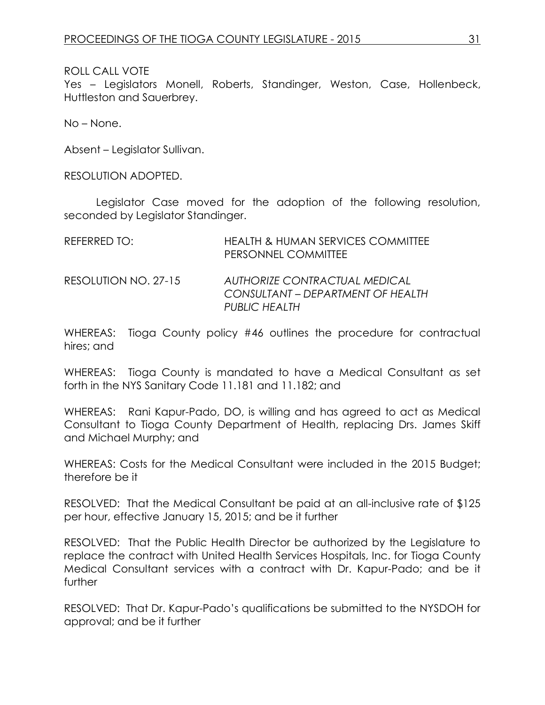Yes – Legislators Monell, Roberts, Standinger, Weston, Case, Hollenbeck, Huttleston and Sauerbrey.

No – None.

Absent – Legislator Sullivan.

RESOLUTION ADOPTED.

Legislator Case moved for the adoption of the following resolution, seconded by Legislator Standinger.

| REFERRED TO:         | <b>HEALTH &amp; HUMAN SERVICES COMMITTEE</b><br>PERSONNEL COMMITTEE                               |
|----------------------|---------------------------------------------------------------------------------------------------|
| RESOLUTION NO. 27-15 | <b>AUTHORIZE CONTRACTUAL MEDICAL</b><br>CONSULTANT – DEPARTMENT OF HEALTH<br><b>PUBLIC HEALTH</b> |

WHEREAS: Tioga County policy #46 outlines the procedure for contractual hires; and

WHEREAS: Tioga County is mandated to have a Medical Consultant as set forth in the NYS Sanitary Code 11.181 and 11.182; and

WHEREAS: Rani Kapur-Pado, DO, is willing and has agreed to act as Medical Consultant to Tioga County Department of Health, replacing Drs. James Skiff and Michael Murphy; and

WHEREAS: Costs for the Medical Consultant were included in the 2015 Budget; therefore be it

RESOLVED: That the Medical Consultant be paid at an all-inclusive rate of \$125 per hour, effective January 15, 2015; and be it further

RESOLVED: That the Public Health Director be authorized by the Legislature to replace the contract with United Health Services Hospitals, Inc. for Tioga County Medical Consultant services with a contract with Dr. Kapur-Pado; and be it further

RESOLVED: That Dr. Kapur-Pado's qualifications be submitted to the NYSDOH for approval; and be it further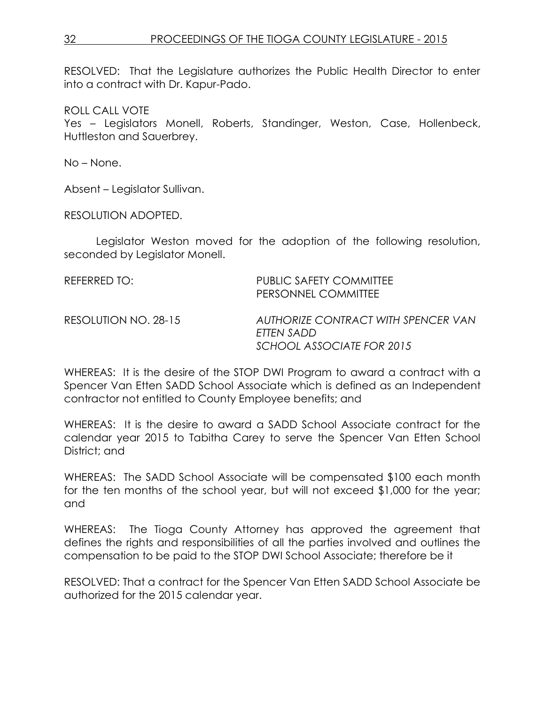RESOLVED: That the Legislature authorizes the Public Health Director to enter into a contract with Dr. Kapur-Pado.

ROLL CALL VOTE

Yes – Legislators Monell, Roberts, Standinger, Weston, Case, Hollenbeck, Huttleston and Sauerbrey.

No – None.

Absent – Legislator Sullivan.

RESOLUTION ADOPTED.

Legislator Weston moved for the adoption of the following resolution, seconded by Legislator Monell.

| REFERRED TO:         | PUBLIC SAFETY COMMITTEE<br>PERSONNEL COMMITTEE    |
|----------------------|---------------------------------------------------|
| RESOLUTION NO. 28-15 | AUTHORIZE CONTRACT WITH SPENCER VAN<br>ETTEN SADD |
|                      | SCHOOL ASSOCIATE FOR 2015                         |

WHEREAS: It is the desire of the STOP DWI Program to award a contract with a Spencer Van Etten SADD School Associate which is defined as an Independent contractor not entitled to County Employee benefits; and

WHEREAS: It is the desire to award a SADD School Associate contract for the calendar year 2015 to Tabitha Carey to serve the Spencer Van Etten School District; and

WHEREAS: The SADD School Associate will be compensated \$100 each month for the ten months of the school year, but will not exceed \$1,000 for the year; and

WHEREAS: The Tioga County Attorney has approved the agreement that defines the rights and responsibilities of all the parties involved and outlines the compensation to be paid to the STOP DWI School Associate; therefore be it

RESOLVED: That a contract for the Spencer Van Etten SADD School Associate be authorized for the 2015 calendar year.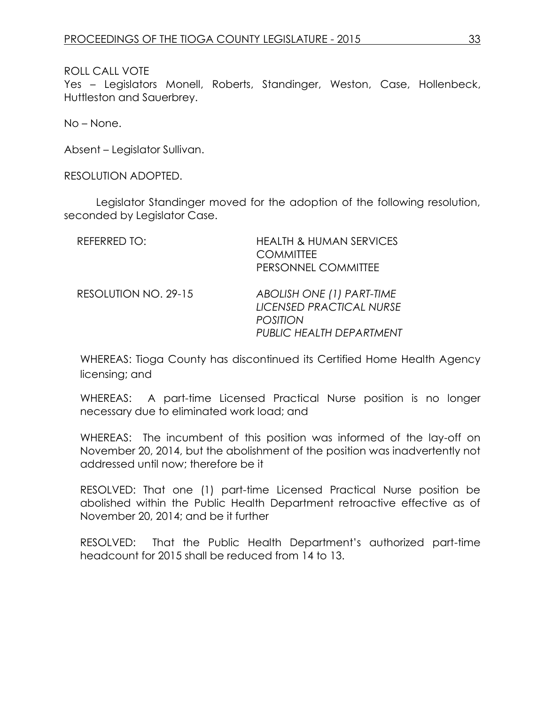Yes – Legislators Monell, Roberts, Standinger, Weston, Case, Hollenbeck, Huttleston and Sauerbrey.

No – None.

Absent – Legislator Sullivan.

RESOLUTION ADOPTED.

Legislator Standinger moved for the adoption of the following resolution, seconded by Legislator Case.

| REFERRED TO:         | <b>HEALTH &amp; HUMAN SERVICES</b><br><b>COMMITTEE</b><br>PERSONNEL COMMITTEE                        |
|----------------------|------------------------------------------------------------------------------------------------------|
| RESOLUTION NO. 29-15 | ABOLISH ONE (1) PART-TIME<br>LICENSED PRACTICAL NURSE<br><b>POSITION</b><br>PUBLIC HEALTH DEPARTMENT |

WHEREAS: Tioga County has discontinued its Certified Home Health Agency licensing; and

WHEREAS: A part-time Licensed Practical Nurse position is no longer necessary due to eliminated work load; and

WHEREAS: The incumbent of this position was informed of the lay-off on November 20, 2014, but the abolishment of the position was inadvertently not addressed until now; therefore be it

RESOLVED: That one (1) part-time Licensed Practical Nurse position be abolished within the Public Health Department retroactive effective as of November 20, 2014; and be it further

RESOLVED: That the Public Health Department's authorized part-time headcount for 2015 shall be reduced from 14 to 13.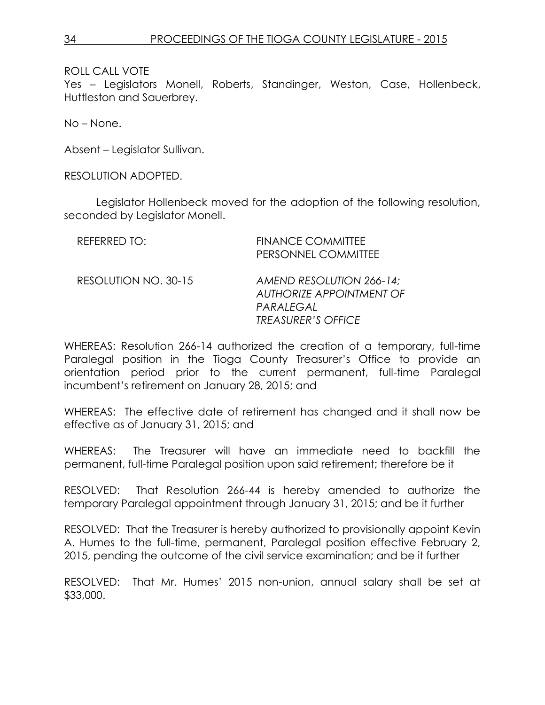Yes – Legislators Monell, Roberts, Standinger, Weston, Case, Hollenbeck, Huttleston and Sauerbrey.

No – None.

Absent – Legislator Sullivan.

RESOLUTION ADOPTED.

Legislator Hollenbeck moved for the adoption of the following resolution, seconded by Legislator Monell.

| REFERRED TO:         | <b>FINANCE COMMITTEE</b><br>PERSONNEL COMMITTEE                                                       |
|----------------------|-------------------------------------------------------------------------------------------------------|
| RESOLUTION NO. 30-15 | AMEND RESOLUTION 266-14;<br><b>AUTHORIZE APPOINTMENT OF</b><br>PARALEGAL<br><b>TREASURER'S OFFICE</b> |

WHEREAS: Resolution 266-14 authorized the creation of a temporary, full-time Paralegal position in the Tioga County Treasurer's Office to provide an orientation period prior to the current permanent, full-time Paralegal incumbent's retirement on January 28, 2015; and

WHEREAS: The effective date of retirement has changed and it shall now be effective as of January 31, 2015; and

WHEREAS: The Treasurer will have an immediate need to backfill the permanent, full-time Paralegal position upon said retirement; therefore be it

RESOLVED: That Resolution 266-44 is hereby amended to authorize the temporary Paralegal appointment through January 31, 2015; and be it further

RESOLVED: That the Treasurer is hereby authorized to provisionally appoint Kevin A. Humes to the full-time, permanent, Paralegal position effective February 2, 2015, pending the outcome of the civil service examination; and be it further

RESOLVED: That Mr. Humes' 2015 non-union, annual salary shall be set at \$33,000.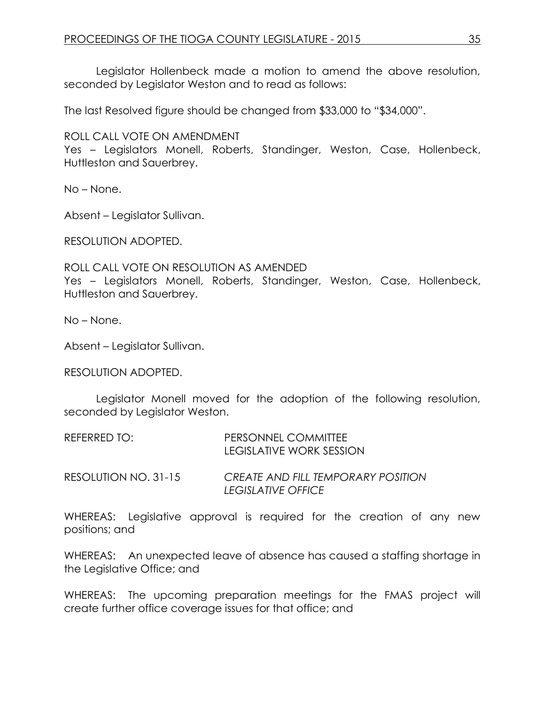Legislator Hollenbeck made a motion to amend the above resolution, seconded by Legislator Weston and to read as follows:

The last Resolved figure should be changed from \$33,000 to "\$34,000".

ROLL CALL VOTE ON AMENDMENT

Yes – Legislators Monell, Roberts, Standinger, Weston, Case, Hollenbeck, Huttleston and Sauerbrey.

No – None.

Absent – Legislator Sullivan.

RESOLUTION ADOPTED.

ROLL CALL VOTE ON RESOLUTION AS AMENDED Yes – Legislators Monell, Roberts, Standinger, Weston, Case, Hollenbeck, Huttleston and Sauerbrey.

No – None.

Absent – Legislator Sullivan.

RESOLUTION ADOPTED.

Legislator Monell moved for the adoption of the following resolution, seconded by Legislator Weston.

| REFERRED TO: | PERSONNEL COMMITTEE             |  |
|--------------|---------------------------------|--|
|              | <b>LEGISLATIVE WORK SESSION</b> |  |
|              |                                 |  |

RESOLUTION NO. 31-15 *CREATE AND FILL TEMPORARY POSITION LEGISLATIVE OFFICE*

WHEREAS: Legislative approval is required for the creation of any new positions; and

WHEREAS: An unexpected leave of absence has caused a staffing shortage in the Legislative Office; and

WHEREAS: The upcoming preparation meetings for the FMAS project will create further office coverage issues for that office; and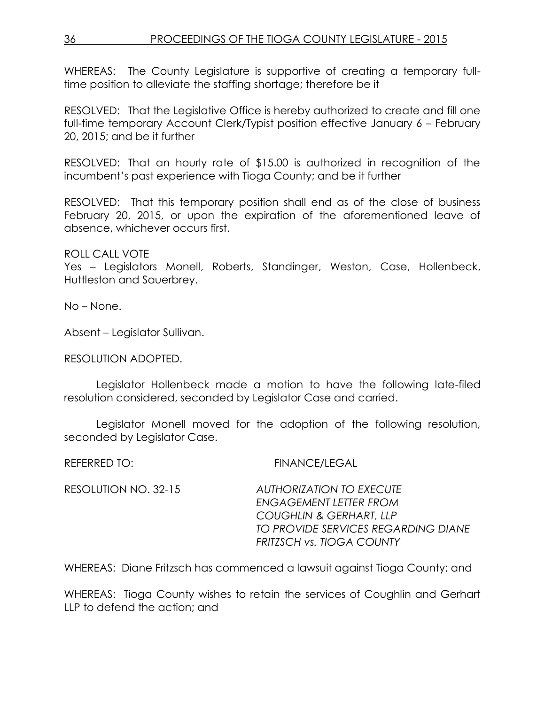WHEREAS: The County Legislature is supportive of creating a temporary fulltime position to alleviate the staffing shortage; therefore be it

RESOLVED: That the Legislative Office is hereby authorized to create and fill one full-time temporary Account Clerk/Typist position effective January 6 – February 20, 2015; and be it further

RESOLVED: That an hourly rate of \$15.00 is authorized in recognition of the incumbent's past experience with Tioga County; and be it further

RESOLVED: That this temporary position shall end as of the close of business February 20, 2015, or upon the expiration of the aforementioned leave of absence, whichever occurs first.

ROLL CALL VOTE

Yes – Legislators Monell, Roberts, Standinger, Weston, Case, Hollenbeck, Huttleston and Sauerbrey.

No – None.

Absent – Legislator Sullivan.

RESOLUTION ADOPTED.

Legislator Hollenbeck made a motion to have the following late-filed resolution considered, seconded by Legislator Case and carried.

Legislator Monell moved for the adoption of the following resolution, seconded by Legislator Case.

REFERRED TO: FINANCE/LEGAL

RESOLUTION NO. 32-15 *AUTHORIZATION TO EXECUTE ENGAGEMENT LETTER FROM COUGHLIN & GERHART, LLP TO PROVIDE SERVICES REGARDING DIANE FRITZSCH vs. TIOGA COUNTY*

WHEREAS: Diane Fritzsch has commenced a lawsuit against Tioga County; and

WHEREAS: Tioga County wishes to retain the services of Coughlin and Gerhart LLP to defend the action; and